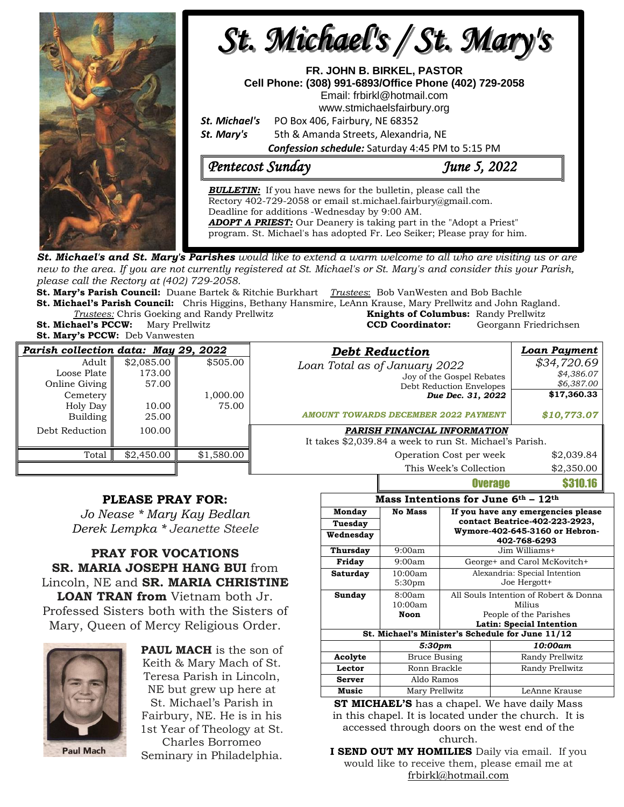



 program. St. Michael's has adopted Fr. Leo Seiker; Please pray for him.*ADOPT A PRIEST:* Our Deanery is taking part in the "Adopt a Priest"

**St. Michael's and St. Mary's Parishes** would like to extend a warm welcome to all who are visiting us or are new to the area. If you are not currently registered at St. Michael's or St. Mary's and consider this your Parish, *please call the Rectory at (402) 729-2058.* 

**St. Mary's Parish Council:** Duane Bartek & Ritchie Burkhart *Trustees*: Bob VanWesten and Bob Bachle

**St. Michael's Parish Council:** Chris Higgins, Bethany Hansmire, LeAnn Krause, Mary Prellwitz and John Ragland. *Trustees:* Chris Goeking and Randy Prellwitz **Knights of Columbus:** Randy Prellwitz

**St. Mary's PCCW:** Deb Vanwesten

**St. Michael's PCCW:** Mary Prellwitz **CCD Coordinator:** Georgann Friedrichsen

| Parish collection data: May 29, 2022 |            |            | <b>Debt Reduction</b>                                   | <b>Loan Payment</b> |
|--------------------------------------|------------|------------|---------------------------------------------------------|---------------------|
| Adult                                | \$2,085.00 | \$505.00   | Loan Total as of January 2022                           | \$34,720.69         |
| Loose Plate                          | 173.00     |            | Joy of the Gospel Rebates                               | \$4,386.07          |
| Online Giving                        | 57.00      |            | Debt Reduction Envelopes                                | \$6,387.00          |
| Cemetery                             |            | 1,000.00   | Due Dec. 31, 2022                                       | \$17,360.33         |
| Holy Day                             | 10.00      | 75.00      |                                                         |                     |
| Building                             | 25.00      |            | <b>AMOUNT TOWARDS DECEMBER 2022 PAYMENT</b>             | \$10,773.07         |
| Debt Reduction                       | 100.00     |            | PARISH FINANCIAL INFORMATION                            |                     |
|                                      |            |            | It takes \$2,039.84 a week to run St. Michael's Parish. |                     |
| Total                                | \$2,450.00 | \$1,580.00 | Operation Cost per week                                 | \$2,039.84          |
|                                      |            |            | This Week's Collection                                  | \$2,350.00          |

## **PLEASE PRAY FOR:**

*Jo Nease \* Mary Kay Bedlan Derek Lempka \* Jeanette Steele*

## **PRAY FOR VOCATIONS SR. MARIA JOSEPH HANG BUI** from Lincoln, NE and **SR. MARIA CHRISTINE LOAN TRAN from** Vietnam both Jr. Professed Sisters both with the Sisters of Mary, Queen of Mercy Religious Order.

**Paul Mach** 

**PAUL MACH** is the son of Keith & Mary Mach of St. Teresa Parish in Lincoln, NE but grew up here at St. Michael's Parish in Fairbury, NE. He is in his 1st Year of Theology at St. Charles Borromeo

Seminary in Philadelphia.

| Mass Intentions for June $6th$ – $12th$                                      |                               |                                                                           |                                                |  |  |  |
|------------------------------------------------------------------------------|-------------------------------|---------------------------------------------------------------------------|------------------------------------------------|--|--|--|
| Monday                                                                       | <b>No Mass</b>                | If you have any emergencies please<br>contact Beatrice-402-223-2923,      |                                                |  |  |  |
| Tuesday                                                                      |                               |                                                                           |                                                |  |  |  |
| Wednesday                                                                    |                               |                                                                           | Wymore-402-645-3160 or Hebron-<br>402-768-6293 |  |  |  |
| Thursday                                                                     | 9:00am                        |                                                                           | Jim Williams+                                  |  |  |  |
| Friday                                                                       | 9:00am                        |                                                                           | George+ and Carol McKovitch+                   |  |  |  |
| Saturday                                                                     | 10:00am<br>5:30 <sub>pm</sub> | Alexandria: Special Intention<br>Joe Hergott+                             |                                                |  |  |  |
| Sunday                                                                       | 8:00am<br>10:00am<br>Noon     | All Souls Intention of Robert & Donna<br>Milius<br>People of the Parishes |                                                |  |  |  |
| Latin: Special Intention<br>St. Michael's Minister's Schedule for June 11/12 |                               |                                                                           |                                                |  |  |  |
|                                                                              | 5:30pm                        |                                                                           | 10:00am                                        |  |  |  |
| Acolyte                                                                      | <b>Bruce Busing</b>           |                                                                           | Randy Prellwitz                                |  |  |  |
| Lector                                                                       | Ronn Brackle                  |                                                                           | Randy Prellwitz                                |  |  |  |
| <b>Server</b>                                                                | Aldo Ramos                    |                                                                           |                                                |  |  |  |
| Music                                                                        | Mary Prellwitz                |                                                                           | LeAnne Krause                                  |  |  |  |

**Overage \$310.16** 

**ST MICHAEL'S** has a chapel. We have daily Mass in this chapel. It is located under the church. It is accessed through doors on the west end of the church.

**I SEND OUT MY HOMILIES** Daily via email. If you would like to receive them, please email me at [frbirkl@hotmail.com](mailto:frbirkl@hotmail.com)